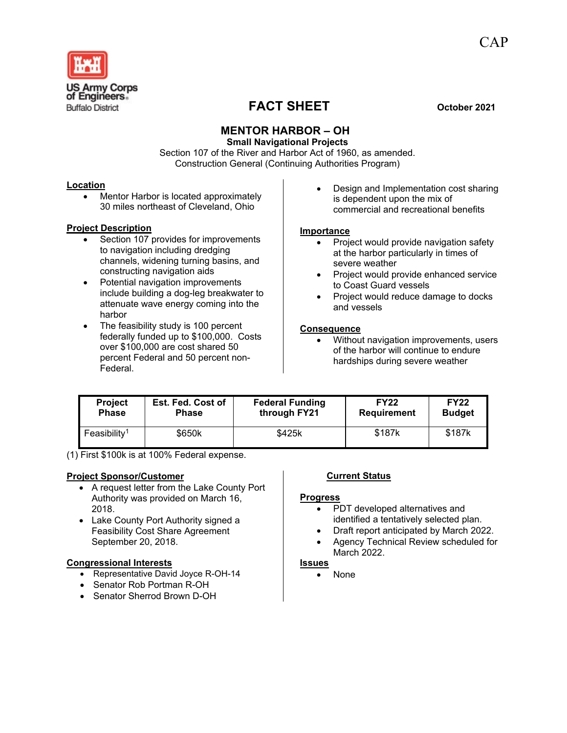

CAP

# **FACT SHEET October 2021**

## **MENTOR HARBOR – OH**

**Small Navigational Projects** Section 107 of the River and Harbor Act of 1960, as amended. Construction General (Continuing Authorities Program)

### **Location**

• Mentor Harbor is located approximately 30 miles northeast of Cleveland, Ohio

### **Project Description**

- Section 107 provides for improvements to navigation including dredging channels, widening turning basins, and constructing navigation aids
- Potential navigation improvements include building a dog-leg breakwater to attenuate wave energy coming into the harbor
- The feasibility study is 100 percent federally funded up to \$100,000. Costs over \$100,000 are cost shared 50 percent Federal and 50 percent non-Federal.

• Design and Implementation cost sharing is dependent upon the mix of commercial and recreational benefits

### **Importance**

- Project would provide navigation safety at the harbor particularly in times of severe weather
- Project would provide enhanced service to Coast Guard vessels
- Project would reduce damage to docks and vessels

### **Consequence**

• Without navigation improvements, users of the harbor will continue to endure hardships during severe weather

| <b>Project</b>           | Est. Fed. Cost of | <b>Federal Funding</b> | <b>FY22</b>        | <b>FY22</b>   |
|--------------------------|-------------------|------------------------|--------------------|---------------|
| <b>Phase</b>             | <b>Phase</b>      | through FY21           | <b>Requirement</b> | <b>Budget</b> |
| Feasibility <sup>1</sup> | \$650k            | \$425k                 | \$187k             | \$187k        |

(1) First \$100k is at 100% Federal expense.

### **Project Sponsor/Customer**

- A request letter from the Lake County Port Authority was provided on March 16, 2018.
- Lake County Port Authority signed a Feasibility Cost Share Agreement September 20, 2018.

### **Congressional Interests**

- Representative David Joyce R-OH-14
- Senator Rob Portman R-OH
- Senator Sherrod Brown D-OH

### **Current Status**

### **Progress**

- PDT developed alternatives and identified a tentatively selected plan.
- Draft report anticipated by March 2022.
- Agency Technical Review scheduled for March 2022.

### **Issues**

• None